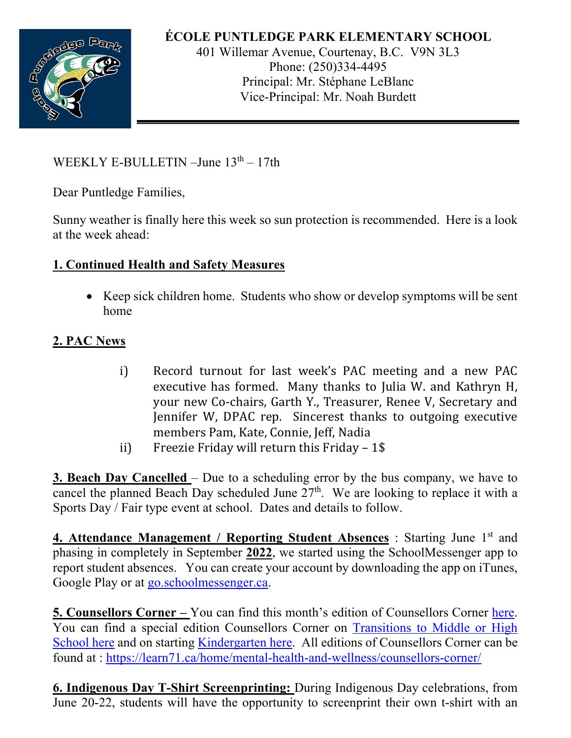

## **ÉCOLE PUNTLEDGE PARK ELEMENTARY SCHOOL**

401 Willemar Avenue, Courtenay, B.C. V9N 3L3 Phone: (250)334-4495 Principal: Mr. Stéphane LeBlanc Vice-Principal: Mr. Noah Burdett

WEEKLY E-BULLETIN  $-J$ une  $13<sup>th</sup> - 17th$ 

Dear Puntledge Families,

Sunny weather is finally here this week so sun protection is recommended. Here is a look at the week ahead:

## **1. Continued Health and Safety Measures**

• Keep sick children home. Students who show or develop symptoms will be sent home

## **2. PAC News**

- i) Record turnout for last week's PAC meeting and a new PAC executive has formed. Many thanks to Julia W. and Kathryn H, your new Co-chairs, Garth Y., Treasurer, Renee V, Secretary and Jennifer W, DPAC rep. Sincerest thanks to outgoing executive members Pam, Kate, Connie, Jeff, Nadia
- ii) Freezie Friday will return this Friday  $-1$ \$

**3. Beach Day Cancelled** – Due to a scheduling error by the bus company, we have to cancel the planned Beach Day scheduled June  $27<sup>th</sup>$ . We are looking to replace it with a Sports Day / Fair type event at school. Dates and details to follow.

**4. Attendance Management / Reporting Student Absences** : Starting June 1<sup>st</sup> and phasing in completely in September **2022**, we started using the SchoolMessenger app to report student absences. You can create your account by downloading the app on iTunes, Google Play or at go.schoolmessenger.ca.

**5. Counsellors Corner –** You can find this month's edition of Counsellors Corner here. You can find a special edition Counsellors Corner on Transitions to Middle or High School here and on starting Kindergarten here. All editions of Counsellors Corner can be found at : https://learn71.ca/home/mental-health-and-wellness/counsellors-corner/

**6. Indigenous Day T-Shirt Screenprinting:** During Indigenous Day celebrations, from June 20-22, students will have the opportunity to screenprint their own t-shirt with an